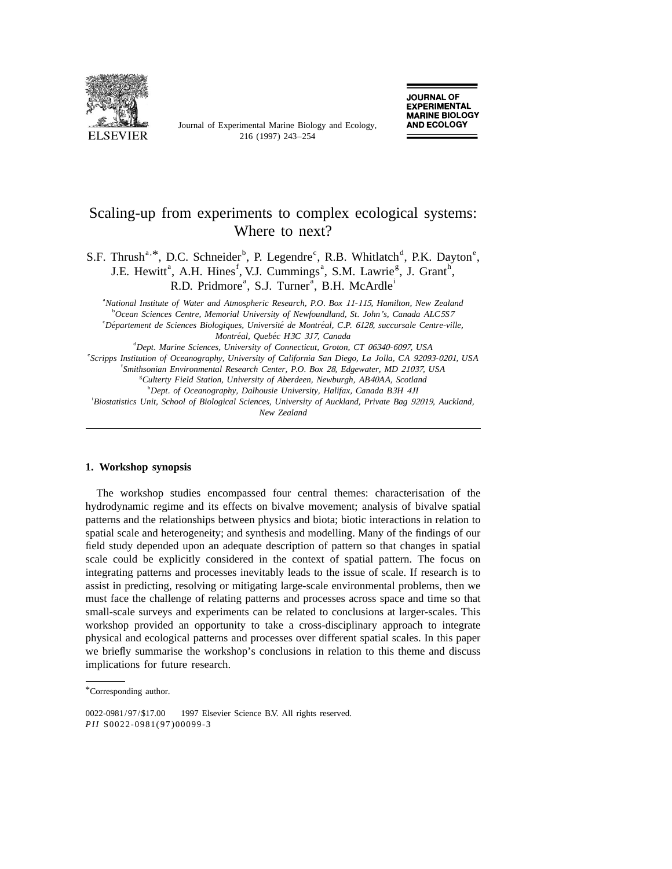

Journal of Experimental Marine Biology and Ecology,

# Scaling-up from experiments to complex ecological systems: Where to next?

# S.F. Thrush<sup>a, \*</sup>, D.C. Schneider<sup>b</sup>, P. Legendre<sup>c</sup>, R.B. Whitlatch<sup>d</sup>, P.K. Dayton<sup>e</sup>, J.E. Hewitt<sup>a</sup>, A.H. Hines<sup>f</sup>, V.J. Cummings<sup>a</sup>, S.M. Lawrie<sup>g</sup>, J. Grant<sup>h</sup>, R.D. Pridmore<sup>a</sup>, S.J. Turner<sup>a</sup>, B.H. McArdle<sup>i</sup>

a *National Institute of Water and Atmospheric Research*, *P*.*O*. *Box* <sup>11</sup>-115, *Hamilton*, *New Zealand* b *Ocean Sciences Centre*, *Memorial University of Newfoundland*, *St*. *John*'*s*, *Canada ALC*5*S*<sup>7</sup> c *Departement de Sciences Biologiques ´ ´´* , *Universite de Montreal*, *C*.*P*. 6128, *succursale Centre*-*ville*, *Montreal ´ ´* , *Quebec H*3*C* <sup>3</sup>*J*7, *Canada* d *Dept*. *Marine Sciences*, *University of Connecticut*, *Groton*, *CT* <sup>06340</sup>-6097, *USA* e *Scripps Institution of Oceanography*, *University of California San Diego*, *La Jolla*, *CA* <sup>92093</sup>-0201, *USA* f *Smithsonian Environmental Research Center*, *P*.*O*. *Box* 28, *Edgewater*, *MD* 21037, *USA* g *Culterty Field Station*, *University of Aberdeen*, *Newburgh*, *AB*40*AA*, *Scotland* h *Dept*. *of Oceanography*, *Dalhousie University*, *Halifax*, *Canada B*3*H* <sup>4</sup>*JI* i *Biostatistics Unit*, *School of Biological Sciences*, *University of Auckland*, *Private Bag* 92019, *Auckland*,

*New Zealand*

### **1. Workshop synopsis**

The workshop studies encompassed four central themes: characterisation of the hydrodynamic regime and its effects on bivalve movement; analysis of bivalve spatial patterns and the relationships between physics and biota; biotic interactions in relation to spatial scale and heterogeneity; and synthesis and modelling. Many of the findings of our field study depended upon an adequate description of pattern so that changes in spatial scale could be explicitly considered in the context of spatial pattern. The focus on integrating patterns and processes inevitably leads to the issue of scale. If research is to assist in predicting, resolving or mitigating large-scale environmental problems, then we must face the challenge of relating patterns and processes across space and time so that small-scale surveys and experiments can be related to conclusions at larger-scales. This workshop provided an opportunity to take a cross-disciplinary approach to integrate physical and ecological patterns and processes over different spatial scales. In this paper we briefly summarise the workshop's conclusions in relation to this theme and discuss implications for future research.

<sup>\*</sup>Corresponding author.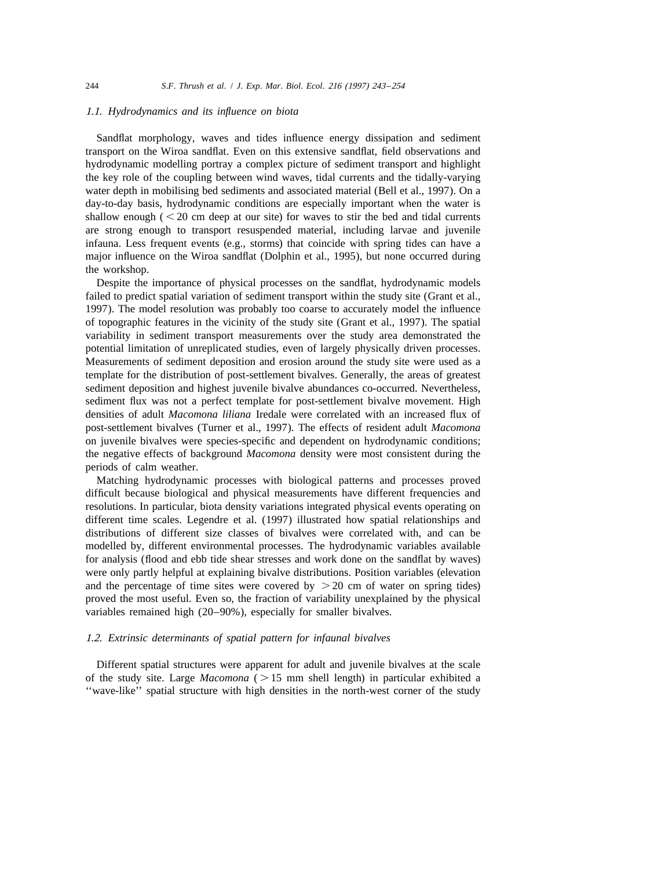#### 1.1. *Hydrodynamics and its influence on biota*

Sandflat morphology, waves and tides influence energy dissipation and sediment transport on the Wiroa sandflat. Even on this extensive sandflat, field observations and hydrodynamic modelling portray a complex picture of sediment transport and highlight the key role of the coupling between wind waves, tidal currents and the tidally-varying water depth in mobilising bed sediments and associated material (Bell et al., 1997). On a day-to-day basis, hydrodynamic conditions are especially important when the water is shallow enough  $( $20 \text{ cm}$  deep at our site) for waves to stir the bed and tidal currents$ are strong enough to transport resuspended material, including larvae and juvenile infauna. Less frequent events (e.g., storms) that coincide with spring tides can have a major influence on the Wiroa sandflat (Dolphin et al., 1995), but none occurred during the workshop.

Despite the importance of physical processes on the sandflat, hydrodynamic models failed to predict spatial variation of sediment transport within the study site (Grant et al., 1997). The model resolution was probably too coarse to accurately model the influence of topographic features in the vicinity of the study site (Grant et al., 1997). The spatial variability in sediment transport measurements over the study area demonstrated the potential limitation of unreplicated studies, even of largely physically driven processes. Measurements of sediment deposition and erosion around the study site were used as a template for the distribution of post-settlement bivalves. Generally, the areas of greatest sediment deposition and highest juvenile bivalve abundances co-occurred. Nevertheless, sediment flux was not a perfect template for post-settlement bivalve movement. High densities of adult *Macomona liliana* Iredale were correlated with an increased flux of post-settlement bivalves (Turner et al., 1997). The effects of resident adult *Macomona* on juvenile bivalves were species-specific and dependent on hydrodynamic conditions; the negative effects of background *Macomona* density were most consistent during the periods of calm weather.

Matching hydrodynamic processes with biological patterns and processes proved difficult because biological and physical measurements have different frequencies and resolutions. In particular, biota density variations integrated physical events operating on different time scales. Legendre et al. (1997) illustrated how spatial relationships and distributions of different size classes of bivalves were correlated with, and can be modelled by, different environmental processes. The hydrodynamic variables available for analysis (flood and ebb tide shear stresses and work done on the sandflat by waves) were only partly helpful at explaining bivalve distributions. Position variables (elevation and the percentage of time sites were covered by  $> 20$  cm of water on spring tides) proved the most useful. Even so, the fraction of variability unexplained by the physical variables remained high (20–90%), especially for smaller bivalves.

### 1.2. *Extrinsic determinants of spatial pattern for infaunal bivalves*

Different spatial structures were apparent for adult and juvenile bivalves at the scale of the study site. Large *Macomona* ( $> 15$  mm shell length) in particular exhibited a ''wave-like'' spatial structure with high densities in the north-west corner of the study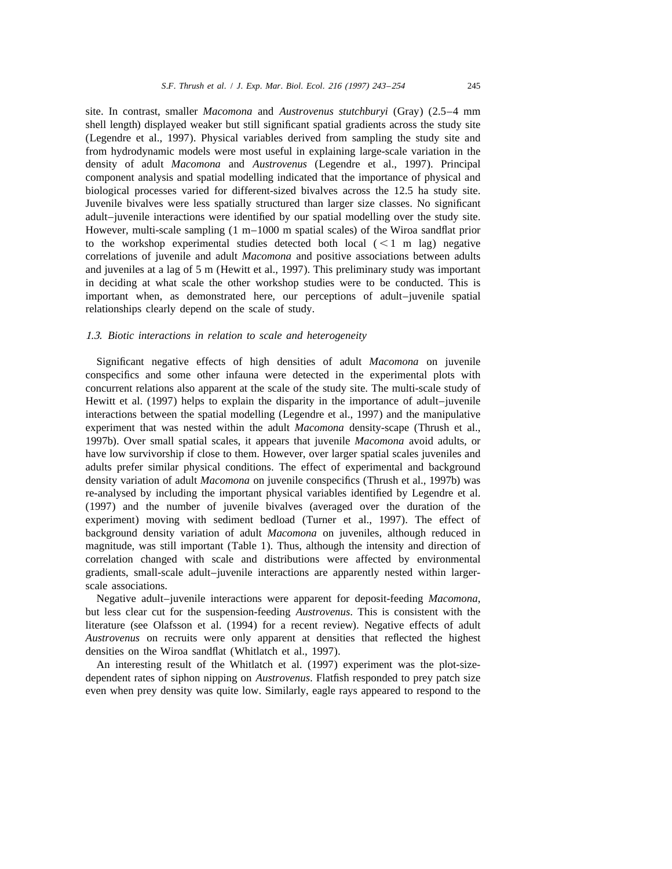site. In contrast, smaller *Macomona* and *Austrovenus stutchburyi* (Gray) (2.5–4 mm shell length) displayed weaker but still significant spatial gradients across the study site (Legendre et al., 1997). Physical variables derived from sampling the study site and from hydrodynamic models were most useful in explaining large-scale variation in the density of adult *Macomona* and *Austrovenus* (Legendre et al., 1997). Principal component analysis and spatial modelling indicated that the importance of physical and biological processes varied for different-sized bivalves across the 12.5 ha study site. Juvenile bivalves were less spatially structured than larger size classes. No significant adult–juvenile interactions were identified by our spatial modelling over the study site. However, multi-scale sampling (1 m–1000 m spatial scales) of the Wiroa sandflat prior to the workshop experimental studies detected both local  $(< 1 \text{ m } \text{lag})$  negative correlations of juvenile and adult *Macomona* and positive associations between adults and juveniles at a lag of 5 m (Hewitt et al., 1997). This preliminary study was important in deciding at what scale the other workshop studies were to be conducted. This is important when, as demonstrated here, our perceptions of adult–juvenile spatial relationships clearly depend on the scale of study.

# 1.3. *Biotic interactions in relation to scale and heterogeneity*

Significant negative effects of high densities of adult *Macomona* on juvenile conspecifics and some other infauna were detected in the experimental plots with concurrent relations also apparent at the scale of the study site. The multi-scale study of Hewitt et al. (1997) helps to explain the disparity in the importance of adult–juvenile interactions between the spatial modelling (Legendre et al., 1997) and the manipulative experiment that was nested within the adult *Macomona* density-scape (Thrush et al., 1997b). Over small spatial scales, it appears that juvenile *Macomona* avoid adults, or have low survivorship if close to them. However, over larger spatial scales juveniles and adults prefer similar physical conditions. The effect of experimental and background density variation of adult *Macomona* on juvenile conspecifics (Thrush et al., 1997b) was re-analysed by including the important physical variables identified by Legendre et al. (1997) and the number of juvenile bivalves (averaged over the duration of the experiment) moving with sediment bedload (Turner et al., 1997). The effect of background density variation of adult *Macomona* on juveniles, although reduced in magnitude, was still important (Table 1). Thus, although the intensity and direction of correlation changed with scale and distributions were affected by environmental gradients, small-scale adult–juvenile interactions are apparently nested within largerscale associations.

Negative adult–juvenile interactions were apparent for deposit-feeding *Macomona*, but less clear cut for the suspension-feeding *Austrovenus*. This is consistent with the literature (see Olafsson et al. (1994) for a recent review). Negative effects of adult *Austrovenus* on recruits were only apparent at densities that reflected the highest densities on the Wiroa sandflat (Whitlatch et al., 1997).

An interesting result of the Whitlatch et al. (1997) experiment was the plot-sizedependent rates of siphon nipping on *Austrovenus*. Flatfish responded to prey patch size even when prey density was quite low. Similarly, eagle rays appeared to respond to the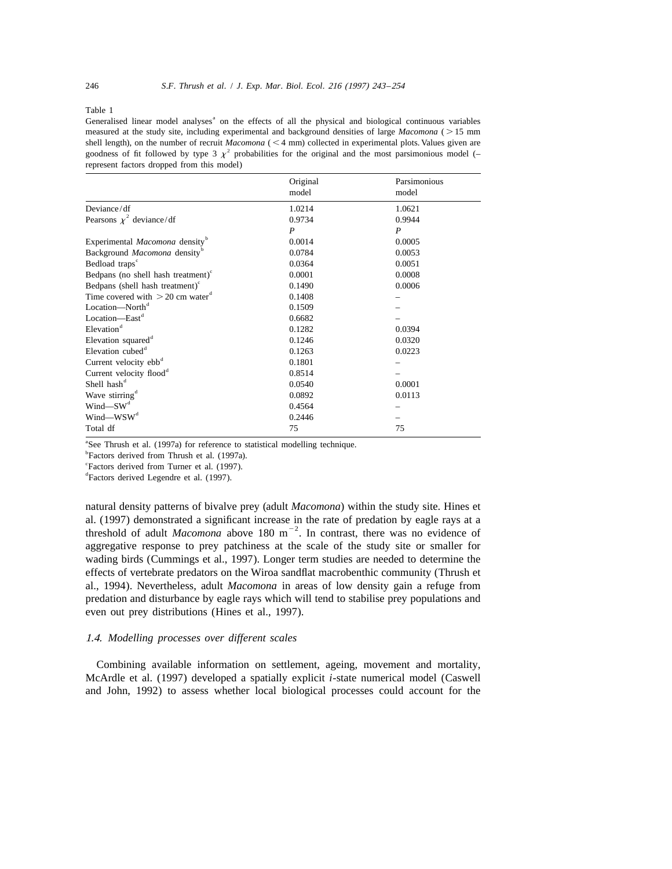Table 1

Generalised linear model analyses<sup>ª</sup> on the effects of all the physical and biological continuous variables measured at the study site, including experimental and background densities of large *Macomona* ( $> 15$  mm shell length), on the number of recruit *Macomona* ( $<$ 4 mm) collected in experimental plots. Values given are goodness of fit followed by type 3  $\chi^2$  probabilities for the original and the most parsimonious model (– represent factors dropped from this model)

|                                                | Original | Parsimonious |
|------------------------------------------------|----------|--------------|
|                                                | model    | model        |
| Deviance/df                                    | 1.0214   | 1.0621       |
| Pearsons $\chi^2$ deviance/df                  | 0.9734   | 0.9944       |
|                                                | P        | P            |
| Experimental Macomona density <sup>b</sup>     | 0.0014   | 0.0005       |
| Background Macomona density <sup>b</sup>       | 0.0784   | 0.0053       |
| Bedload traps <sup>c</sup>                     | 0.0364   | 0.0051       |
| Bedpans (no shell hash treatment) <sup>c</sup> | 0.0001   | 0.0008       |
| Bedpans (shell hash treatment) $\text{°}$      | 0.1490   | 0.0006       |
| Time covered with $> 20$ cm water <sup>d</sup> | 0.1408   |              |
| Location-North <sup>d</sup>                    | 0.1509   |              |
| Location—East <sup>d</sup>                     | 0.6682   |              |
| $E$ levation <sup>d</sup>                      | 0.1282   | 0.0394       |
| Elevation squared <sup>d</sup>                 | 0.1246   | 0.0320       |
| Elevation cubed <sup>d</sup>                   | 0.1263   | 0.0223       |
| Current velocity ebb <sup>d</sup>              | 0.1801   |              |
| Current velocity flood <sup>d</sup>            | 0.8514   |              |
| Shell hash <sup>d</sup>                        | 0.0540   | 0.0001       |
| Wave stirring <sup>d</sup>                     | 0.0892   | 0.0113       |
| $Wind$ <sub>-SW<sup>d</sup></sub>              | 0.4564   |              |
| Wind-WSW <sup>d</sup>                          | 0.2446   |              |
| Total df                                       | 75       | 75           |

<sup>a</sup>See Thrush et al. (1997a) for reference to statistical modelling technique.

b Factors derived from Thrush et al. (1997a).

c Factors derived from Turner et al. (1997).

d Factors derived Legendre et al. (1997).

natural density patterns of bivalve prey (adult *Macomona*) within the study site. Hines et al. (1997) demonstrated a significant increase in the rate of predation by eagle rays at a threshold of adult *Macomona* above 180 m<sup>-2</sup>. In contrast, there was no evidence of aggregative response to prey patchiness at the scale of the study site or smaller for wading birds (Cummings et al., 1997). Longer term studies are needed to determine the effects of vertebrate predators on the Wiroa sandflat macrobenthic community (Thrush et al., 1994). Nevertheless, adult *Macomona* in areas of low density gain a refuge from predation and disturbance by eagle rays which will tend to stabilise prey populations and even out prey distributions (Hines et al., 1997).

#### 1.4. *Modelling processes over different scales*

Combining available information on settlement, ageing, movement and mortality, McArdle et al. (1997) developed a spatially explicit *i*-state numerical model (Caswell and John, 1992) to assess whether local biological processes could account for the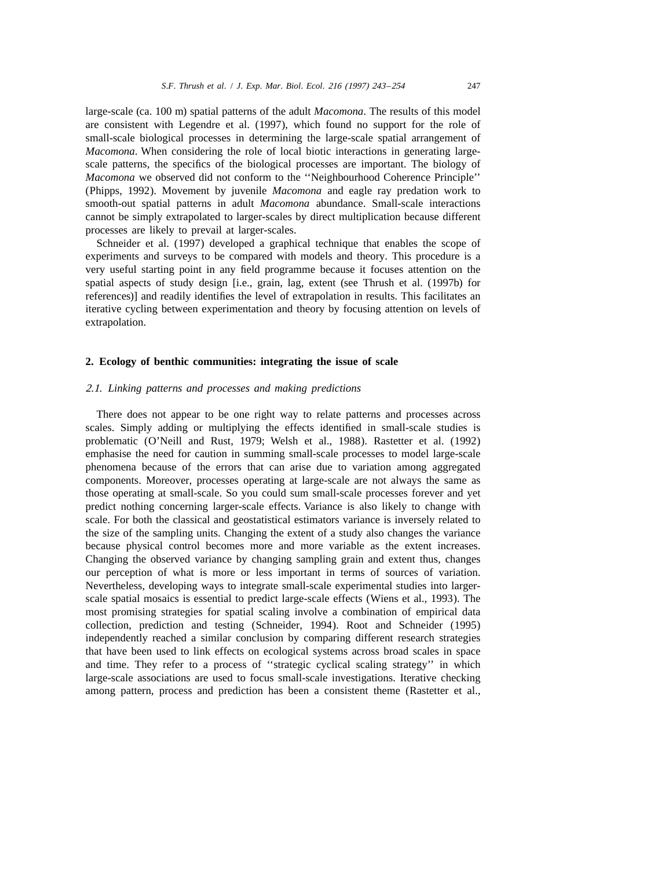large-scale (ca. 100 m) spatial patterns of the adult *Macomona*. The results of this model are consistent with Legendre et al. (1997), which found no support for the role of small-scale biological processes in determining the large-scale spatial arrangement of *Macomona*. When considering the role of local biotic interactions in generating largescale patterns, the specifics of the biological processes are important. The biology of *Macomona* we observed did not conform to the ''Neighbourhood Coherence Principle'' (Phipps, 1992). Movement by juvenile *Macomona* and eagle ray predation work to smooth-out spatial patterns in adult *Macomona* abundance. Small-scale interactions cannot be simply extrapolated to larger-scales by direct multiplication because different processes are likely to prevail at larger-scales.

Schneider et al. (1997) developed a graphical technique that enables the scope of experiments and surveys to be compared with models and theory. This procedure is a very useful starting point in any field programme because it focuses attention on the spatial aspects of study design [i.e., grain, lag, extent (see Thrush et al. (1997b) for references)] and readily identifies the level of extrapolation in results. This facilitates an iterative cycling between experimentation and theory by focusing attention on levels of extrapolation.

# **2. Ecology of benthic communities: integrating the issue of scale**

### 2.1. *Linking patterns and processes and making predictions*

There does not appear to be one right way to relate patterns and processes across scales. Simply adding or multiplying the effects identified in small-scale studies is problematic (O'Neill and Rust, 1979; Welsh et al., 1988). Rastetter et al. (1992) emphasise the need for caution in summing small-scale processes to model large-scale phenomena because of the errors that can arise due to variation among aggregated components. Moreover, processes operating at large-scale are not always the same as those operating at small-scale. So you could sum small-scale processes forever and yet predict nothing concerning larger-scale effects. Variance is also likely to change with scale. For both the classical and geostatistical estimators variance is inversely related to the size of the sampling units. Changing the extent of a study also changes the variance because physical control becomes more and more variable as the extent increases. Changing the observed variance by changing sampling grain and extent thus, changes our perception of what is more or less important in terms of sources of variation. Nevertheless, developing ways to integrate small-scale experimental studies into largerscale spatial mosaics is essential to predict large-scale effects (Wiens et al., 1993). The most promising strategies for spatial scaling involve a combination of empirical data collection, prediction and testing (Schneider, 1994). Root and Schneider (1995) independently reached a similar conclusion by comparing different research strategies that have been used to link effects on ecological systems across broad scales in space and time. They refer to a process of ''strategic cyclical scaling strategy'' in which large-scale associations are used to focus small-scale investigations. Iterative checking among pattern, process and prediction has been a consistent theme (Rastetter et al.,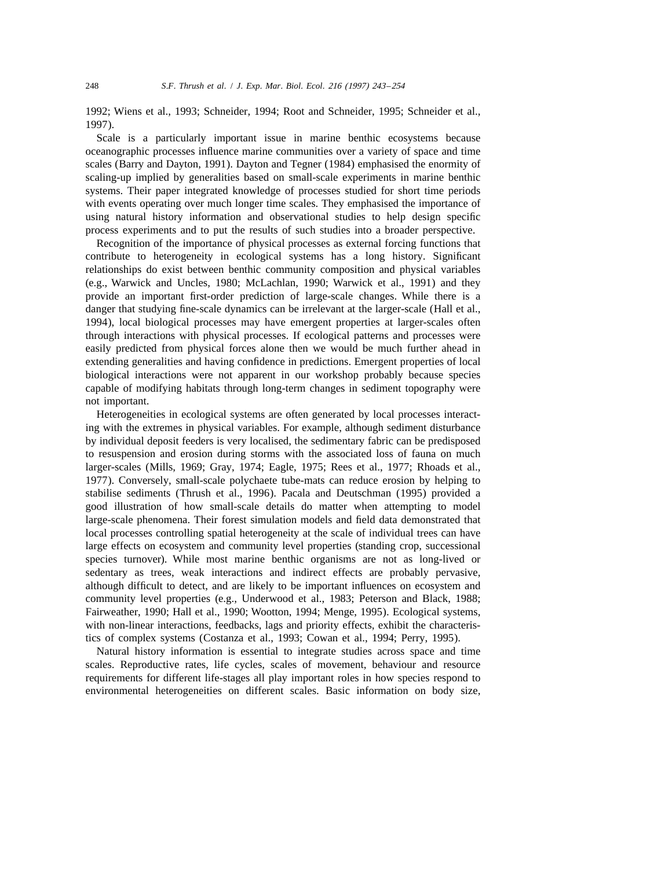1992; Wiens et al., 1993; Schneider, 1994; Root and Schneider, 1995; Schneider et al., 1997).

Scale is a particularly important issue in marine benthic ecosystems because oceanographic processes influence marine communities over a variety of space and time scales (Barry and Dayton, 1991). Dayton and Tegner (1984) emphasised the enormity of scaling-up implied by generalities based on small-scale experiments in marine benthic systems. Their paper integrated knowledge of processes studied for short time periods with events operating over much longer time scales. They emphasised the importance of using natural history information and observational studies to help design specific process experiments and to put the results of such studies into a broader perspective.

Recognition of the importance of physical processes as external forcing functions that contribute to heterogeneity in ecological systems has a long history. Significant relationships do exist between benthic community composition and physical variables (e.g., Warwick and Uncles, 1980; McLachlan, 1990; Warwick et al., 1991) and they provide an important first-order prediction of large-scale changes. While there is a danger that studying fine-scale dynamics can be irrelevant at the larger-scale (Hall et al., 1994), local biological processes may have emergent properties at larger-scales often through interactions with physical processes. If ecological patterns and processes were easily predicted from physical forces alone then we would be much further ahead in extending generalities and having confidence in predictions. Emergent properties of local biological interactions were not apparent in our workshop probably because species capable of modifying habitats through long-term changes in sediment topography were not important.

Heterogeneities in ecological systems are often generated by local processes interacting with the extremes in physical variables. For example, although sediment disturbance by individual deposit feeders is very localised, the sedimentary fabric can be predisposed to resuspension and erosion during storms with the associated loss of fauna on much larger-scales (Mills, 1969; Gray, 1974; Eagle, 1975; Rees et al., 1977; Rhoads et al., 1977). Conversely, small-scale polychaete tube-mats can reduce erosion by helping to stabilise sediments (Thrush et al., 1996). Pacala and Deutschman (1995) provided a good illustration of how small-scale details do matter when attempting to model large-scale phenomena. Their forest simulation models and field data demonstrated that local processes controlling spatial heterogeneity at the scale of individual trees can have large effects on ecosystem and community level properties (standing crop, successional species turnover). While most marine benthic organisms are not as long-lived or sedentary as trees, weak interactions and indirect effects are probably pervasive, although difficult to detect, and are likely to be important influences on ecosystem and community level properties (e.g., Underwood et al., 1983; Peterson and Black, 1988; Fairweather, 1990; Hall et al., 1990; Wootton, 1994; Menge, 1995). Ecological systems, with non-linear interactions, feedbacks, lags and priority effects, exhibit the characteristics of complex systems (Costanza et al., 1993; Cowan et al., 1994; Perry, 1995).

Natural history information is essential to integrate studies across space and time scales. Reproductive rates, life cycles, scales of movement, behaviour and resource requirements for different life-stages all play important roles in how species respond to environmental heterogeneities on different scales. Basic information on body size,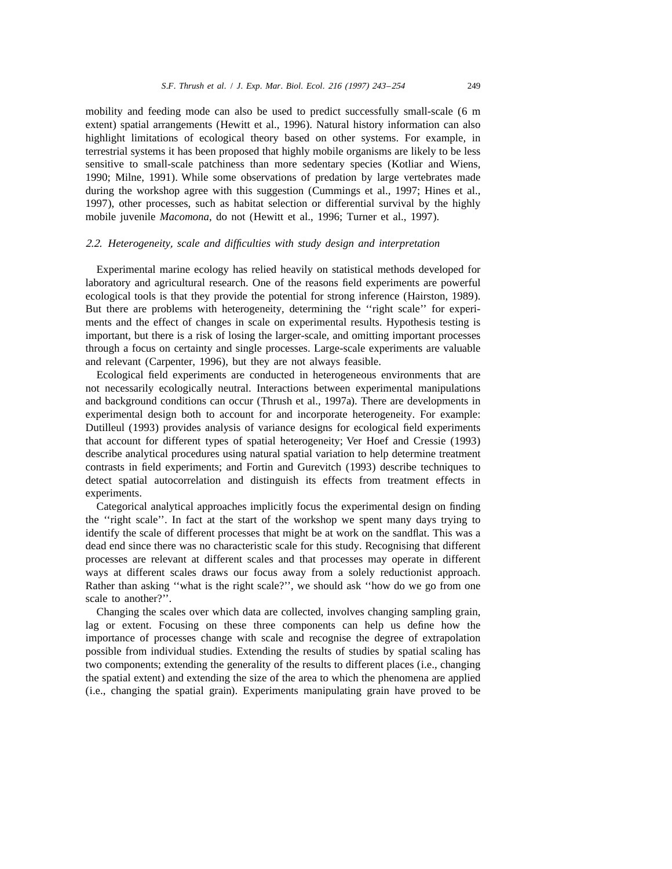mobility and feeding mode can also be used to predict successfully small-scale (6 m extent) spatial arrangements (Hewitt et al., 1996). Natural history information can also highlight limitations of ecological theory based on other systems. For example, in terrestrial systems it has been proposed that highly mobile organisms are likely to be less sensitive to small-scale patchiness than more sedentary species (Kotliar and Wiens, 1990; Milne, 1991). While some observations of predation by large vertebrates made during the workshop agree with this suggestion (Cummings et al., 1997; Hines et al., 1997), other processes, such as habitat selection or differential survival by the highly mobile juvenile *Macomona*, do not (Hewitt et al., 1996; Turner et al., 1997).

# 2.2. *Heterogeneity*, *scale and difficulties with study design and interpretation*

Experimental marine ecology has relied heavily on statistical methods developed for laboratory and agricultural research. One of the reasons field experiments are powerful ecological tools is that they provide the potential for strong inference (Hairston, 1989). But there are problems with heterogeneity, determining the "right scale" for experiments and the effect of changes in scale on experimental results. Hypothesis testing is important, but there is a risk of losing the larger-scale, and omitting important processes through a focus on certainty and single processes. Large-scale experiments are valuable and relevant (Carpenter, 1996), but they are not always feasible.

Ecological field experiments are conducted in heterogeneous environments that are not necessarily ecologically neutral. Interactions between experimental manipulations and background conditions can occur (Thrush et al., 1997a). There are developments in experimental design both to account for and incorporate heterogeneity. For example: Dutilleul (1993) provides analysis of variance designs for ecological field experiments that account for different types of spatial heterogeneity; Ver Hoef and Cressie (1993) describe analytical procedures using natural spatial variation to help determine treatment contrasts in field experiments; and Fortin and Gurevitch (1993) describe techniques to detect spatial autocorrelation and distinguish its effects from treatment effects in experiments.

Categorical analytical approaches implicitly focus the experimental design on finding the ''right scale''. In fact at the start of the workshop we spent many days trying to identify the scale of different processes that might be at work on the sandflat. This was a dead end since there was no characteristic scale for this study. Recognising that different processes are relevant at different scales and that processes may operate in different ways at different scales draws our focus away from a solely reductionist approach. Rather than asking ''what is the right scale?'', we should ask ''how do we go from one scale to another?''.

Changing the scales over which data are collected, involves changing sampling grain, lag or extent. Focusing on these three components can help us define how the importance of processes change with scale and recognise the degree of extrapolation possible from individual studies. Extending the results of studies by spatial scaling has two components; extending the generality of the results to different places (i.e., changing the spatial extent) and extending the size of the area to which the phenomena are applied (i.e., changing the spatial grain). Experiments manipulating grain have proved to be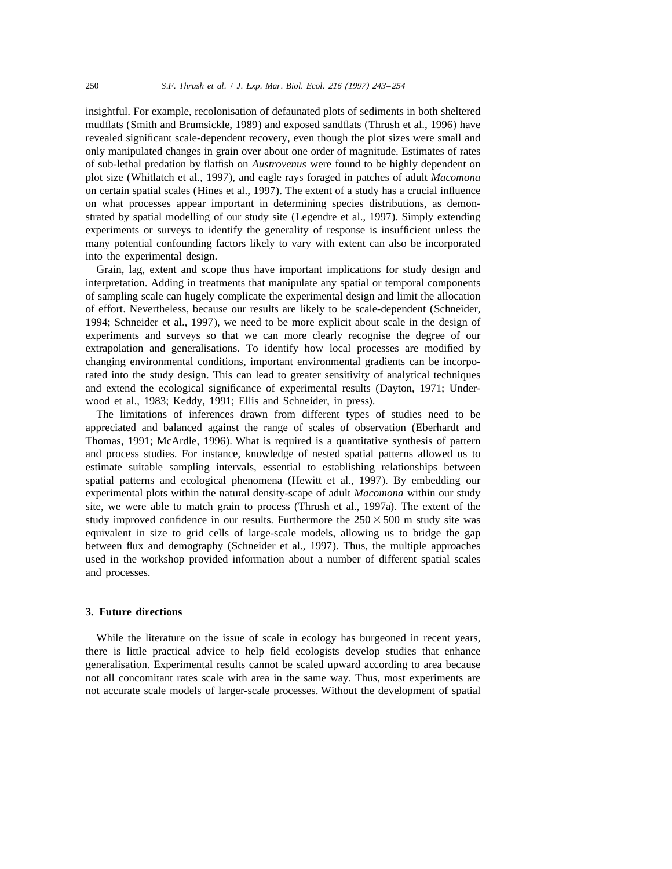insightful. For example, recolonisation of defaunated plots of sediments in both sheltered mudflats (Smith and Brumsickle, 1989) and exposed sandflats (Thrush et al., 1996) have revealed significant scale-dependent recovery, even though the plot sizes were small and only manipulated changes in grain over about one order of magnitude. Estimates of rates of sub-lethal predation by flatfish on *Austrovenus* were found to be highly dependent on plot size (Whitlatch et al., 1997), and eagle rays foraged in patches of adult *Macomona* on certain spatial scales (Hines et al., 1997). The extent of a study has a crucial influence on what processes appear important in determining species distributions, as demonstrated by spatial modelling of our study site (Legendre et al., 1997). Simply extending experiments or surveys to identify the generality of response is insufficient unless the many potential confounding factors likely to vary with extent can also be incorporated into the experimental design.

Grain, lag, extent and scope thus have important implications for study design and interpretation. Adding in treatments that manipulate any spatial or temporal components of sampling scale can hugely complicate the experimental design and limit the allocation of effort. Nevertheless, because our results are likely to be scale-dependent (Schneider, 1994; Schneider et al., 1997), we need to be more explicit about scale in the design of experiments and surveys so that we can more clearly recognise the degree of our extrapolation and generalisations. To identify how local processes are modified by changing environmental conditions, important environmental gradients can be incorporated into the study design. This can lead to greater sensitivity of analytical techniques and extend the ecological significance of experimental results (Dayton, 1971; Underwood et al., 1983; Keddy, 1991; Ellis and Schneider, in press).

The limitations of inferences drawn from different types of studies need to be appreciated and balanced against the range of scales of observation (Eberhardt and Thomas, 1991; McArdle, 1996). What is required is a quantitative synthesis of pattern and process studies. For instance, knowledge of nested spatial patterns allowed us to estimate suitable sampling intervals, essential to establishing relationships between spatial patterns and ecological phenomena (Hewitt et al., 1997). By embedding our experimental plots within the natural density-scape of adult *Macomona* within our study site, we were able to match grain to process (Thrush et al., 1997a). The extent of the study improved confidence in our results. Furthermore the  $250 \times 500$  m study site was equivalent in size to grid cells of large-scale models, allowing us to bridge the gap between flux and demography (Schneider et al., 1997). Thus, the multiple approaches used in the workshop provided information about a number of different spatial scales and processes.

#### **3. Future directions**

While the literature on the issue of scale in ecology has burgeoned in recent years, there is little practical advice to help field ecologists develop studies that enhance generalisation. Experimental results cannot be scaled upward according to area because not all concomitant rates scale with area in the same way. Thus, most experiments are not accurate scale models of larger-scale processes. Without the development of spatial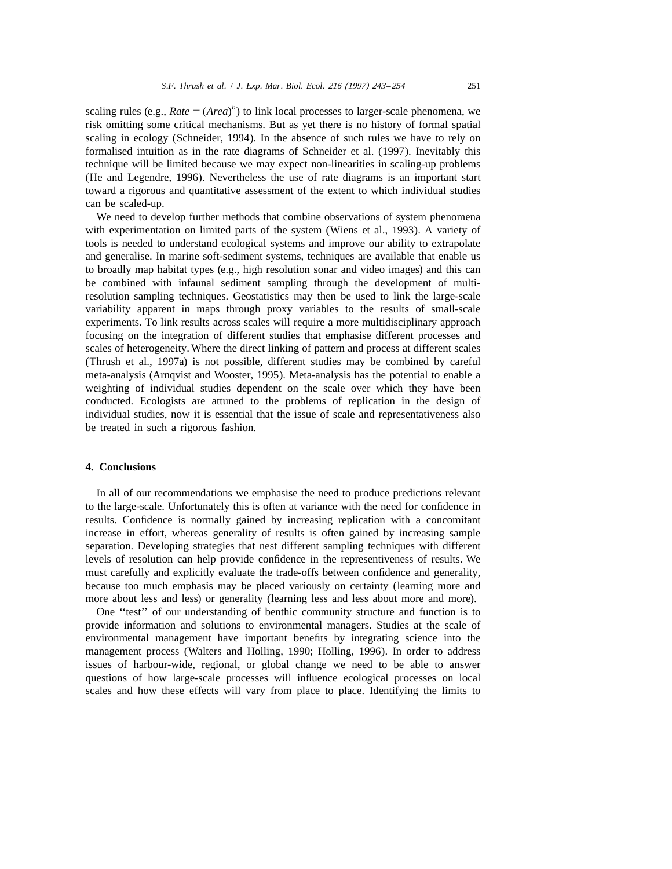*scaling rules (e.g.,*  $Rate = (Area)^b$ *)* to link local processes to larger-scale phenomena, we risk omitting some critical mechanisms. But as yet there is no history of formal spatial scaling in ecology (Schneider, 1994). In the absence of such rules we have to rely on formalised intuition as in the rate diagrams of Schneider et al. (1997). Inevitably this technique will be limited because we may expect non-linearities in scaling-up problems (He and Legendre, 1996). Nevertheless the use of rate diagrams is an important start toward a rigorous and quantitative assessment of the extent to which individual studies can be scaled-up.

We need to develop further methods that combine observations of system phenomena with experimentation on limited parts of the system (Wiens et al., 1993). A variety of tools is needed to understand ecological systems and improve our ability to extrapolate and generalise. In marine soft-sediment systems, techniques are available that enable us to broadly map habitat types (e.g., high resolution sonar and video images) and this can be combined with infaunal sediment sampling through the development of multiresolution sampling techniques. Geostatistics may then be used to link the large-scale variability apparent in maps through proxy variables to the results of small-scale experiments. To link results across scales will require a more multidisciplinary approach focusing on the integration of different studies that emphasise different processes and scales of heterogeneity. Where the direct linking of pattern and process at different scales (Thrush et al., 1997a) is not possible, different studies may be combined by careful meta-analysis (Arnqvist and Wooster, 1995). Meta-analysis has the potential to enable a weighting of individual studies dependent on the scale over which they have been conducted. Ecologists are attuned to the problems of replication in the design of individual studies, now it is essential that the issue of scale and representativeness also be treated in such a rigorous fashion.

#### **4. Conclusions**

In all of our recommendations we emphasise the need to produce predictions relevant to the large-scale. Unfortunately this is often at variance with the need for confidence in results. Confidence is normally gained by increasing replication with a concomitant increase in effort, whereas generality of results is often gained by increasing sample separation. Developing strategies that nest different sampling techniques with different levels of resolution can help provide confidence in the representiveness of results. We must carefully and explicitly evaluate the trade-offs between confidence and generality, because too much emphasis may be placed variously on certainty (learning more and more about less and less) or generality (learning less and less about more and more).

One ''test'' of our understanding of benthic community structure and function is to provide information and solutions to environmental managers. Studies at the scale of environmental management have important benefits by integrating science into the management process (Walters and Holling, 1990; Holling, 1996). In order to address issues of harbour-wide, regional, or global change we need to be able to answer questions of how large-scale processes will influence ecological processes on local scales and how these effects will vary from place to place. Identifying the limits to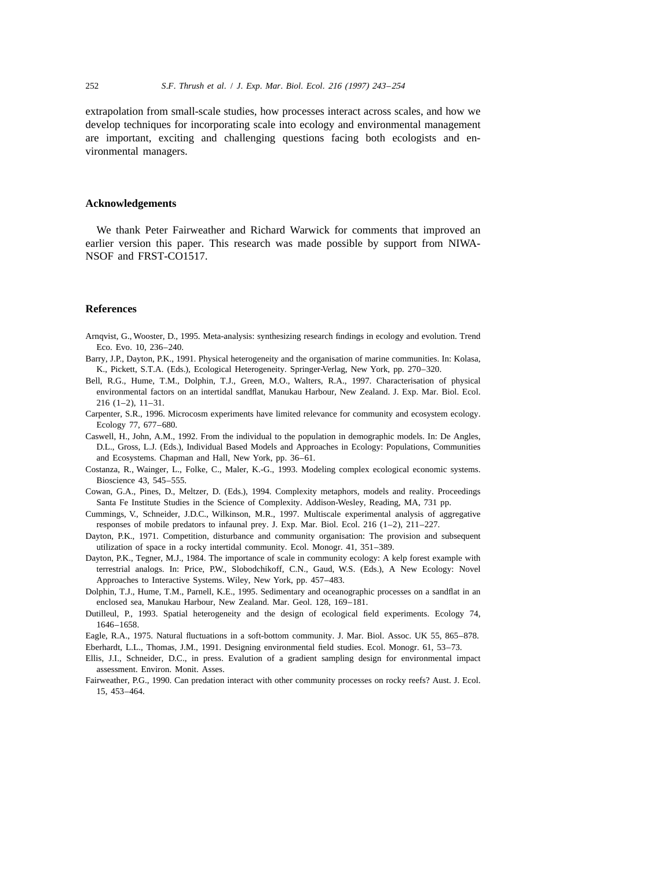extrapolation from small-scale studies, how processes interact across scales, and how we develop techniques for incorporating scale into ecology and environmental management are important, exciting and challenging questions facing both ecologists and environmental managers.

#### **Acknowledgements**

We thank Peter Fairweather and Richard Warwick for comments that improved an earlier version this paper. This research was made possible by support from NIWA-NSOF and FRST-CO1517.

#### **References**

- Arnqvist, G., Wooster, D., 1995. Meta-analysis: synthesizing research findings in ecology and evolution. Trend Eco. Evo. 10, 236–240.
- Barry, J.P., Dayton, P.K., 1991. Physical heterogeneity and the organisation of marine communities. In: Kolasa, K., Pickett, S.T.A. (Eds.), Ecological Heterogeneity. Springer-Verlag, New York, pp. 270–320.
- Bell, R.G., Hume, T.M., Dolphin, T.J., Green, M.O., Walters, R.A., 1997. Characterisation of physical environmental factors on an intertidal sandflat, Manukau Harbour, New Zealand. J. Exp. Mar. Biol. Ecol. 216 (1–2), 11–31.
- Carpenter, S.R., 1996. Microcosm experiments have limited relevance for community and ecosystem ecology. Ecology 77, 677–680.
- Caswell, H., John, A.M., 1992. From the individual to the population in demographic models. In: De Angles, D.L., Gross, L.J. (Eds.), Individual Based Models and Approaches in Ecology: Populations, Communities and Ecosystems. Chapman and Hall, New York, pp. 36–61.
- Costanza, R., Wainger, L., Folke, C., Maler, K.-G., 1993. Modeling complex ecological economic systems. Bioscience 43, 545–555.
- Cowan, G.A., Pines, D., Meltzer, D. (Eds.), 1994. Complexity metaphors, models and reality. Proceedings Santa Fe Institute Studies in the Science of Complexity. Addison-Wesley, Reading, MA, 731 pp.
- Cummings, V., Schneider, J.D.C., Wilkinson, M.R., 1997. Multiscale experimental analysis of aggregative responses of mobile predators to infaunal prey. J. Exp. Mar. Biol. Ecol. 216 (1–2), 211–227.
- Dayton, P.K., 1971. Competition, disturbance and community organisation: The provision and subsequent utilization of space in a rocky intertidal community. Ecol. Monogr. 41, 351–389.
- Dayton, P.K., Tegner, M.J., 1984. The importance of scale in community ecology: A kelp forest example with terrestrial analogs. In: Price, P.W., Slobodchikoff, C.N., Gaud, W.S. (Eds.), A New Ecology: Novel Approaches to Interactive Systems. Wiley, New York, pp. 457–483.
- Dolphin, T.J., Hume, T.M., Parnell, K.E., 1995. Sedimentary and oceanographic processes on a sandflat in an enclosed sea, Manukau Harbour, New Zealand. Mar. Geol. 128, 169–181.
- Dutilleul, P., 1993. Spatial heterogeneity and the design of ecological field experiments. Ecology 74, 1646–1658.
- Eagle, R.A., 1975. Natural fluctuations in a soft-bottom community. J. Mar. Biol. Assoc. UK 55, 865–878.
- Eberhardt, L.L., Thomas, J.M., 1991. Designing environmental field studies. Ecol. Monogr. 61, 53–73.
- Ellis, J.I., Schneider, D.C., in press. Evalution of a gradient sampling design for environmental impact assessment. Environ. Monit. Asses.
- Fairweather, P.G., 1990. Can predation interact with other community processes on rocky reefs? Aust. J. Ecol. 15, 453–464.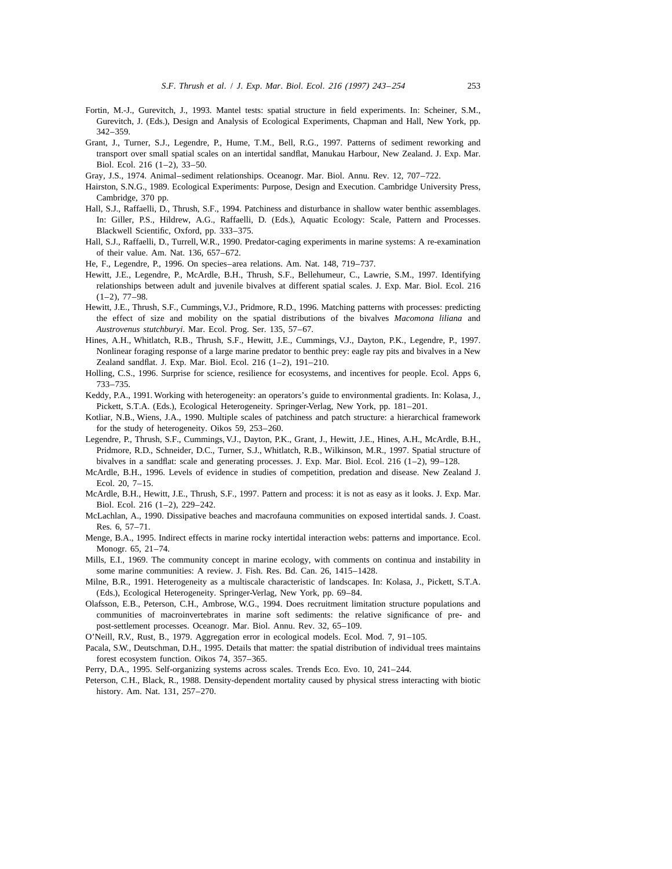- Fortin, M.-J., Gurevitch, J., 1993. Mantel tests: spatial structure in field experiments. In: Scheiner, S.M., Gurevitch, J. (Eds.), Design and Analysis of Ecological Experiments, Chapman and Hall, New York, pp. 342–359.
- Grant, J., Turner, S.J., Legendre, P., Hume, T.M., Bell, R.G., 1997. Patterns of sediment reworking and transport over small spatial scales on an intertidal sandflat, Manukau Harbour, New Zealand. J. Exp. Mar. Biol. Ecol. 216 (1–2), 33–50.
- Gray, J.S., 1974. Animal–sediment relationships. Oceanogr. Mar. Biol. Annu. Rev. 12, 707–722.
- Hairston, S.N.G., 1989. Ecological Experiments: Purpose, Design and Execution. Cambridge University Press, Cambridge, 370 pp.
- Hall, S.J., Raffaelli, D., Thrush, S.F., 1994. Patchiness and disturbance in shallow water benthic assemblages. In: Giller, P.S., Hildrew, A.G., Raffaelli, D. (Eds.), Aquatic Ecology: Scale, Pattern and Processes. Blackwell Scientific, Oxford, pp. 333–375.
- Hall, S.J., Raffaelli, D., Turrell, W.R., 1990. Predator-caging experiments in marine systems: A re-examination of their value. Am. Nat. 136, 657–672.
- He, F., Legendre, P., 1996. On species–area relations. Am. Nat. 148, 719–737.
- Hewitt, J.E., Legendre, P., McArdle, B.H., Thrush, S.F., Bellehumeur, C., Lawrie, S.M., 1997. Identifying relationships between adult and juvenile bivalves at different spatial scales. J. Exp. Mar. Biol. Ecol. 216  $(1-2)$ , 77-98.
- Hewitt, J.E., Thrush, S.F., Cummings, V.J., Pridmore, R.D., 1996. Matching patterns with processes: predicting the effect of size and mobility on the spatial distributions of the bivalves *Macomona liliana* and *Austrovenus stutchburyi*. Mar. Ecol. Prog. Ser. 135, 57–67.
- Hines, A.H., Whitlatch, R.B., Thrush, S.F., Hewitt, J.E., Cummings, V.J., Dayton, P.K., Legendre, P., 1997. Nonlinear foraging response of a large marine predator to benthic prey: eagle ray pits and bivalves in a New Zealand sandflat. J. Exp. Mar. Biol. Ecol. 216 (1–2), 191–210.
- Holling, C.S., 1996. Surprise for science, resilience for ecosystems, and incentives for people. Ecol. Apps 6, 733–735.
- Keddy, P.A., 1991. Working with heterogeneity: an operators's guide to environmental gradients. In: Kolasa, J., Pickett, S.T.A. (Eds.), Ecological Heterogeneity. Springer-Verlag, New York, pp. 181–201.
- Kotliar, N.B., Wiens, J.A., 1990. Multiple scales of patchiness and patch structure: a hierarchical framework for the study of heterogeneity. Oikos 59, 253–260.
- Legendre, P., Thrush, S.F., Cummings, V.J., Dayton, P.K., Grant, J., Hewitt, J.E., Hines, A.H., McArdle, B.H., Pridmore, R.D., Schneider, D.C., Turner, S.J., Whitlatch, R.B., Wilkinson, M.R., 1997. Spatial structure of bivalves in a sandflat: scale and generating processes. J. Exp. Mar. Biol. Ecol. 216 (1–2), 99–128.
- McArdle, B.H., 1996. Levels of evidence in studies of competition, predation and disease. New Zealand J. Ecol. 20, 7–15.
- McArdle, B.H., Hewitt, J.E., Thrush, S.F., 1997. Pattern and process: it is not as easy as it looks. J. Exp. Mar. Biol. Ecol. 216 (1–2), 229–242.
- McLachlan, A., 1990. Dissipative beaches and macrofauna communities on exposed intertidal sands. J. Coast. Res. 6, 57–71.
- Menge, B.A., 1995. Indirect effects in marine rocky intertidal interaction webs: patterns and importance. Ecol. Monogr. 65, 21–74.
- Mills, E.I., 1969. The community concept in marine ecology, with comments on continua and instability in some marine communities: A review. J. Fish. Res. Bd. Can. 26, 1415–1428.
- Milne, B.R., 1991. Heterogeneity as a multiscale characteristic of landscapes. In: Kolasa, J., Pickett, S.T.A. (Eds.), Ecological Heterogeneity. Springer-Verlag, New York, pp. 69–84.
- Olafsson, E.B., Peterson, C.H., Ambrose, W.G., 1994. Does recruitment limitation structure populations and communities of macroinvertebrates in marine soft sediments: the relative significance of pre- and post-settlement processes. Oceanogr. Mar. Biol. Annu. Rev. 32, 65–109.
- O'Neill, R.V., Rust, B., 1979. Aggregation error in ecological models. Ecol. Mod. 7, 91–105.
- Pacala, S.W., Deutschman, D.H., 1995. Details that matter: the spatial distribution of individual trees maintains forest ecosystem function. Oikos 74, 357–365.
- Perry, D.A., 1995. Self-organizing systems across scales. Trends Eco. Evo. 10, 241–244.
- Peterson, C.H., Black, R., 1988. Density-dependent mortality caused by physical stress interacting with biotic history. Am. Nat. 131, 257–270.